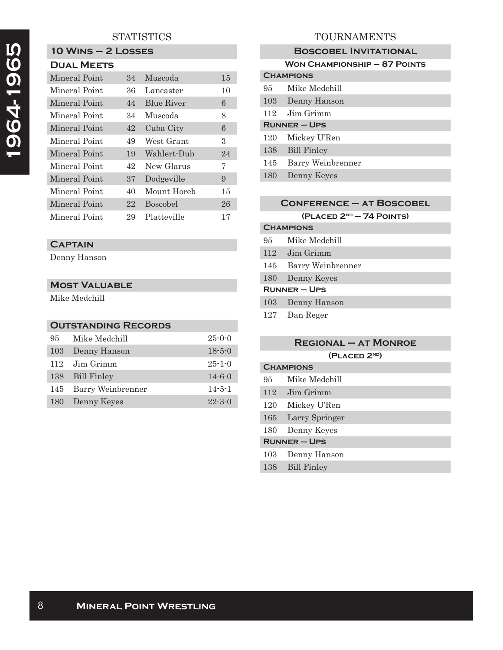# **1964-1965**  1964-1965

# **STATISTICS**

# **10 Wins – 2 Losses**

# **Dual Meets**

| Mineral Point | 34 | Muscoda         | 15 |
|---------------|----|-----------------|----|
| Mineral Point | 36 | Lancaster       | 10 |
| Mineral Point | 44 | Blue River      | 6  |
| Mineral Point | 34 | Muscoda         | 8  |
| Mineral Point | 42 | Cuba City       | 6  |
| Mineral Point | 49 | West Grant      | 3  |
| Mineral Point | 19 | Wahlert-Dub     | 24 |
| Mineral Point | 42 | New Glarus      | 7  |
| Mineral Point | 37 | Dodgeville      | 9  |
| Mineral Point | 40 | Mount Horeb     | 15 |
| Mineral Point | 22 | <b>Boscobel</b> | 26 |
| Mineral Point | 29 | Platteville     | 17 |

## **Captain**

Denny Hanson

### **Most Valuable**

Mike Medchill

### **Outstanding Records**

| 95  | Mike Medchill     | $25 - 0 - 0$ |
|-----|-------------------|--------------|
| 103 | Denny Hanson      | $18 - 5 - 0$ |
| 112 | Jim Grimm         | $25 - 1 - 0$ |
|     | 138 Bill Finley   | $14 - 6 - 0$ |
| 145 | Barry Weinbrenner | $14 - 5 - 1$ |
| 180 | Denny Keyes       | $22 - 3 - 0$ |

# TOURNAMENTS

|                     | <b>BOSCOBEL INVITATIONAL</b>        |  |  |
|---------------------|-------------------------------------|--|--|
|                     | <b>WON CHAMPIONSHIP - 87 POINTS</b> |  |  |
|                     | <b>CHAMPIONS</b>                    |  |  |
| 95                  | Mike Medchill                       |  |  |
| 103                 | Denny Hanson                        |  |  |
| 112                 | Jim Grimm                           |  |  |
| <b>RUNNER – UPS</b> |                                     |  |  |
| 120                 | Mickey U'Ren                        |  |  |
| 138                 | <b>Bill Finley</b>                  |  |  |
| 145                 | Barry Weinbrenner                   |  |  |
| 180                 | Denny Keyes                         |  |  |

### **Conference – at Boscobel (Placed 2nd – 74 Points)**

# **Champions** 95 Mike Medchill 112 Jim Grimm 145 Barry Weinbrenner 180 Denny Keyes **Runner – Ups** 103 Denny Hanson

127 Dan Reger

### **Regional – at Monroe**

**(Placed 2nd)**

### **Champions**

- 95 Mike Medchill
- 112 Jim Grimm
- 120 Mickey U'Ren
- 165 Larry Springer
- 180 Denny Keyes

### **Runner – Ups**

- 103 Denny Hanson
- 138 Bill Finley